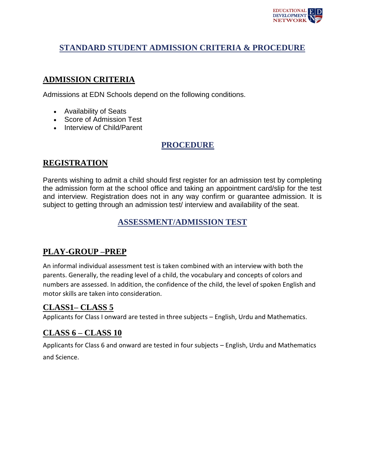

# **STANDARD STUDENT ADMISSION CRITERIA & PROCEDURE**

### **ADMISSION CRITERIA**

Admissions at EDN Schools depend on the following conditions.

- Availability of Seats
- Score of Admission Test
- Interview of Child/Parent

# **PROCEDURE**

### **REGISTRATION**

Parents wishing to admit a child should first register for an admission test by completing the admission form at the school office and taking an appointment card/slip for the test and interview. Registration does not in any way confirm or guarantee admission. It is subject to getting through an admission test/ interview and availability of the seat.

## **ASSESSMENT/ADMISSION TEST**

## **PLAY-GROUP –PREP**

An informal individual assessment test is taken combined with an interview with both the parents. Generally, the reading level of a child, the vocabulary and concepts of colors and numbers are assessed. In addition, the confidence of the child, the level of spoken English and motor skills are taken into consideration.

### **CLASS1– CLASS 5**

Applicants for Class I onward are tested in three subjects – English, Urdu and Mathematics.

## **CLASS 6 – CLASS 10**

Applicants for Class 6 and onward are tested in four subjects – English, Urdu and Mathematics and Science.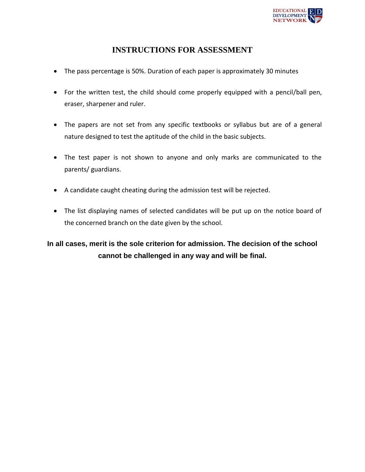

## **INSTRUCTIONS FOR ASSESSMENT**

- The pass percentage is 50%. Duration of each paper is approximately 30 minutes
- For the written test, the child should come properly equipped with a pencil/ball pen, eraser, sharpener and ruler.
- The papers are not set from any specific textbooks or syllabus but are of a general nature designed to test the aptitude of the child in the basic subjects.
- The test paper is not shown to anyone and only marks are communicated to the parents/ guardians.
- A candidate caught cheating during the admission test will be rejected.
- The list displaying names of selected candidates will be put up on the notice board of the concerned branch on the date given by the school.

**In all cases, merit is the sole criterion for admission. The decision of the school cannot be challenged in any way and will be final.**